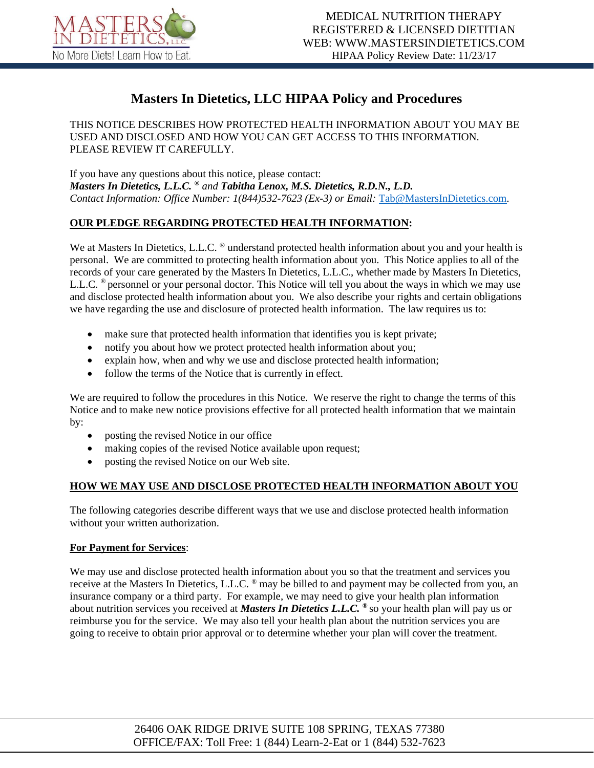

# **Masters In Dietetics, LLC HIPAA Policy and Procedures**

THIS NOTICE DESCRIBES HOW PROTECTED HEALTH INFORMATION ABOUT YOU MAY BE USED AND DISCLOSED AND HOW YOU CAN GET ACCESS TO THIS INFORMATION. PLEASE REVIEW IT CAREFULLY.

If you have any questions about this notice, please contact: *Masters In Dietetics, L.L.C. ® and Tabitha Lenox, M.S. Dietetics, R.D.N., L.D. Contact Information: Office Number: 1(844)532-7623 (Ex-3) or Email: [Tab@MastersInDietetics.com](mailto:Tab@MastersInDietetics.com).* 

## **OUR PLEDGE REGARDING PROTECTED HEALTH INFORMATION:**

We at Masters In Dietetics, L.L.C. <sup>®</sup> understand protected health information about you and your health is personal. We are committed to protecting health information about you. This Notice applies to all of the records of your care generated by the Masters In Dietetics, L.L.C., whether made by Masters In Dietetics, L.L.C. *®* personnel or your personal doctor. This Notice will tell you about the ways in which we may use and disclose protected health information about you. We also describe your rights and certain obligations we have regarding the use and disclosure of protected health information. The law requires us to:

- make sure that protected health information that identifies you is kept private;
- notify you about how we protect protected health information about you;
- explain how, when and why we use and disclose protected health information;
- follow the terms of the Notice that is currently in effect.

We are required to follow the procedures in this Notice. We reserve the right to change the terms of this Notice and to make new notice provisions effective for all protected health information that we maintain by:

- posting the revised Notice in our office
- making copies of the revised Notice available upon request;
- posting the revised Notice on our Web site.

## **HOW WE MAY USE AND DISCLOSE PROTECTED HEALTH INFORMATION ABOUT YOU**

The following categories describe different ways that we use and disclose protected health information without your written authorization.

#### **For Payment for Services**:

We may use and disclose protected health information about you so that the treatment and services you receive at the Masters In Dietetics, L.L.C. ® may be billed to and payment may be collected from you, an insurance company or a third party. For example, we may need to give your health plan information about nutrition services you received at *Masters In Dietetics L.L.C. ®* so your health plan will pay us or reimburse you for the service. We may also tell your health plan about the nutrition services you are going to receive to obtain prior approval or to determine whether your plan will cover the treatment.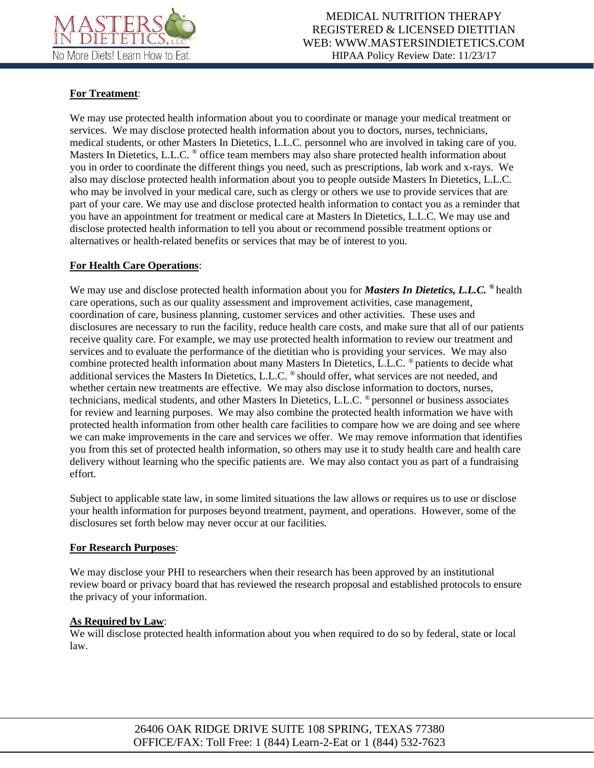

## **For Treatment**:

We may use protected health information about you to coordinate or manage your medical treatment or services. We may disclose protected health information about you to doctors, nurses, technicians, medical students, or other Masters In Dietetics, L.L.C. personnel who are involved in taking care of you. Masters In Dietetics, L.L.C. *®* office team members may also share protected health information about you in order to coordinate the different things you need, such as prescriptions, lab work and x-rays. We also may disclose protected health information about you to people outside Masters In Dietetics, L.L.C. who may be involved in your medical care, such as clergy or others we use to provide services that are part of your care. We may use and disclose protected health information to contact you as a reminder that you have an appointment for treatment or medical care at Masters In Dietetics, L.L.C. We may use and disclose protected health information to tell you about or recommend possible treatment options or alternatives or health-related benefits or services that may be of interest to you.

## **For Health Care Operations**:

We may use and disclose protected health information about you for *Masters In Dietetics, L.L.C. ®* health care operations, such as our quality assessment and improvement activities, case management, coordination of care, business planning, customer services and other activities. These uses and disclosures are necessary to run the facility, reduce health care costs, and make sure that all of our patients receive quality care. For example, we may use protected health information to review our treatment and services and to evaluate the performance of the dietitian who is providing your services. We may also combine protected health information about many Masters In Dietetics, L.L.C. ® patients to decide what additional services the Masters In Dietetics, L.L.C. ® should offer, what services are not needed, and whether certain new treatments are effective. We may also disclose information to doctors, nurses, technicians, medical students, and other Masters In Dietetics, L.L.C. ® personnel or business associates for review and learning purposes. We may also combine the protected health information we have with protected health information from other health care facilities to compare how we are doing and see where we can make improvements in the care and services we offer. We may remove information that identifies you from this set of protected health information, so others may use it to study health care and health care delivery without learning who the specific patients are. We may also contact you as part of a fundraising effort.

Subject to applicable state law, in some limited situations the law allows or requires us to use or disclose your health information for purposes beyond treatment, payment, and operations. However, some of the disclosures set forth below may never occur at our facilities.

#### **For Research Purposes**:

We may disclose your PHI to researchers when their research has been approved by an institutional review board or privacy board that has reviewed the research proposal and established protocols to ensure the privacy of your information.

## **As Required by Law**:

We will disclose protected health information about you when required to do so by federal, state or local law.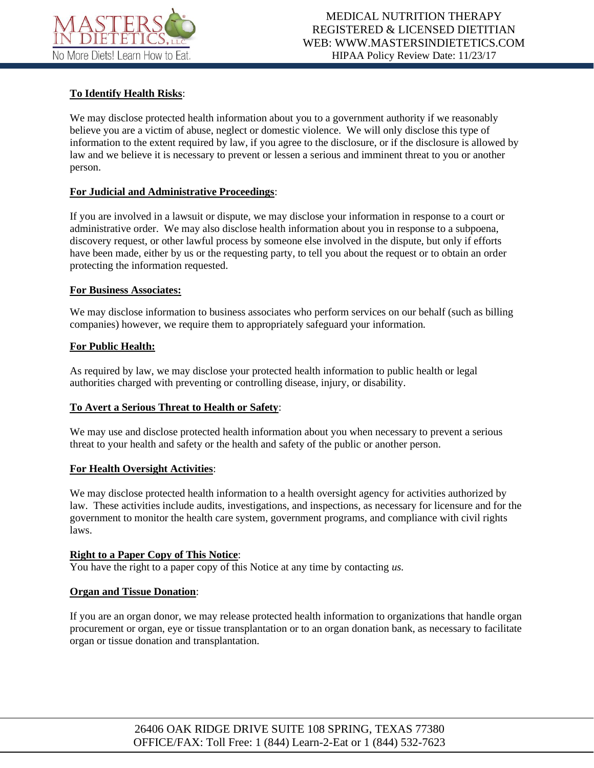

## **To Identify Health Risks**:

We may disclose protected health information about you to a government authority if we reasonably believe you are a victim of abuse, neglect or domestic violence. We will only disclose this type of information to the extent required by law, if you agree to the disclosure, or if the disclosure is allowed by law and we believe it is necessary to prevent or lessen a serious and imminent threat to you or another person.

### **For Judicial and Administrative Proceedings**:

If you are involved in a lawsuit or dispute, we may disclose your information in response to a court or administrative order. We may also disclose health information about you in response to a subpoena, discovery request, or other lawful process by someone else involved in the dispute, but only if efforts have been made, either by us or the requesting party, to tell you about the request or to obtain an order protecting the information requested.

#### **For Business Associates:**

We may disclose information to business associates who perform services on our behalf (such as billing companies) however, we require them to appropriately safeguard your information.

### **For Public Health:**

As required by law, we may disclose your protected health information to public health or legal authorities charged with preventing or controlling disease, injury, or disability.

#### **To Avert a Serious Threat to Health or Safety**:

We may use and disclose protected health information about you when necessary to prevent a serious threat to your health and safety or the health and safety of the public or another person.

#### **For Health Oversight Activities**:

We may disclose protected health information to a health oversight agency for activities authorized by law. These activities include audits, investigations, and inspections, as necessary for licensure and for the government to monitor the health care system, government programs, and compliance with civil rights laws.

#### **Right to a Paper Copy of This Notice**:

You have the right to a paper copy of this Notice at any time by contacting *us.*

#### **Organ and Tissue Donation**:

If you are an organ donor, we may release protected health information to organizations that handle organ procurement or organ, eye or tissue transplantation or to an organ donation bank, as necessary to facilitate organ or tissue donation and transplantation.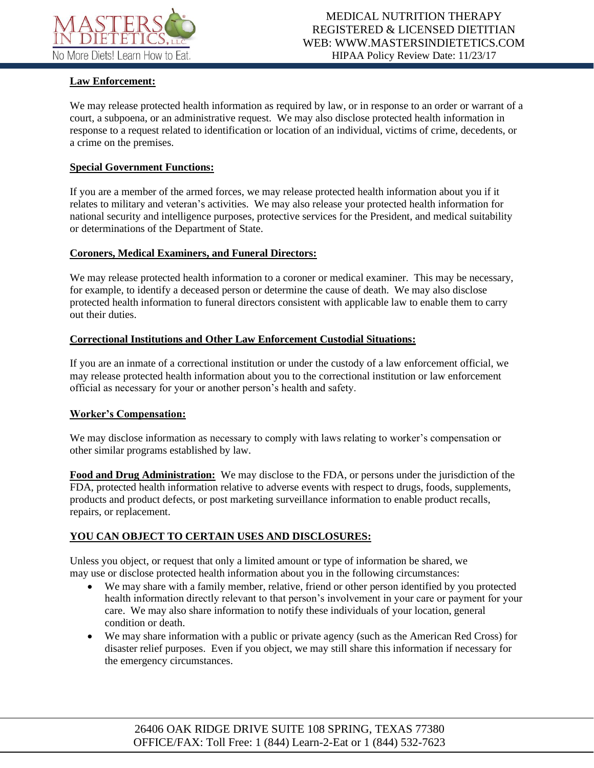

### **Law Enforcement:**

We may release protected health information as required by law, or in response to an order or warrant of a court, a subpoena, or an administrative request. We may also disclose protected health information in response to a request related to identification or location of an individual, victims of crime, decedents, or a crime on the premises.

### **Special Government Functions:**

If you are a member of the armed forces, we may release protected health information about you if it relates to military and veteran's activities. We may also release your protected health information for national security and intelligence purposes, protective services for the President, and medical suitability or determinations of the Department of State.

### **Coroners, Medical Examiners, and Funeral Directors:**

We may release protected health information to a coroner or medical examiner. This may be necessary, for example, to identify a deceased person or determine the cause of death. We may also disclose protected health information to funeral directors consistent with applicable law to enable them to carry out their duties.

### **Correctional Institutions and Other Law Enforcement Custodial Situations:**

If you are an inmate of a correctional institution or under the custody of a law enforcement official, we may release protected health information about you to the correctional institution or law enforcement official as necessary for your or another person's health and safety.

#### **Worker's Compensation:**

We may disclose information as necessary to comply with laws relating to worker's compensation or other similar programs established by law.

**Food and Drug Administration:** We may disclose to the FDA, or persons under the jurisdiction of the FDA, protected health information relative to adverse events with respect to drugs, foods, supplements, products and product defects, or post marketing surveillance information to enable product recalls, repairs, or replacement.

## **YOU CAN OBJECT TO CERTAIN USES AND DISCLOSURES:**

Unless you object, or request that only a limited amount or type of information be shared, we may use or disclose protected health information about you in the following circumstances:

- We may share with a family member, relative, friend or other person identified by you protected health information directly relevant to that person's involvement in your care or payment for your care. We may also share information to notify these individuals of your location, general condition or death.
- We may share information with a public or private agency (such as the American Red Cross) for disaster relief purposes. Even if you object, we may still share this information if necessary for the emergency circumstances.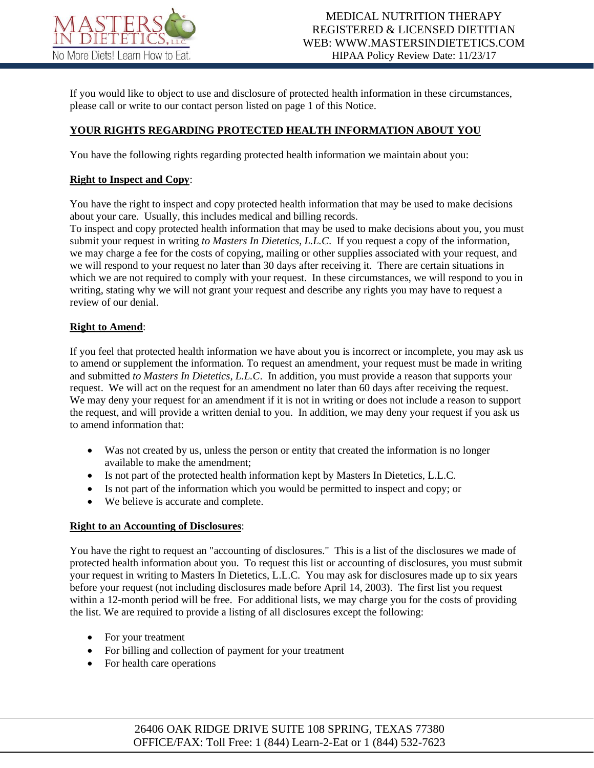

If you would like to object to use and disclosure of protected health information in these circumstances, please call or write to our contact person listed on page 1 of this Notice.

## **YOUR RIGHTS REGARDING PROTECTED HEALTH INFORMATION ABOUT YOU**

You have the following rights regarding protected health information we maintain about you:

#### **Right to Inspect and Copy**:

You have the right to inspect and copy protected health information that may be used to make decisions about your care. Usually, this includes medical and billing records.

To inspect and copy protected health information that may be used to make decisions about you, you must submit your request in writing *to Masters In Dietetics, L.L.C*. If you request a copy of the information, we may charge a fee for the costs of copying, mailing or other supplies associated with your request, and we will respond to your request no later than 30 days after receiving it. There are certain situations in which we are not required to comply with your request. In these circumstances, we will respond to you in writing, stating why we will not grant your request and describe any rights you may have to request a review of our denial.

### **Right to Amend**:

If you feel that protected health information we have about you is incorrect or incomplete, you may ask us to amend or supplement the information. To request an amendment, your request must be made in writing and submitted *to Masters In Dietetics, L.L.C*. In addition, you must provide a reason that supports your request. We will act on the request for an amendment no later than 60 days after receiving the request. We may deny your request for an amendment if it is not in writing or does not include a reason to support the request, and will provide a written denial to you. In addition, we may deny your request if you ask us to amend information that:

- Was not created by us, unless the person or entity that created the information is no longer available to make the amendment;
- Is not part of the protected health information kept by Masters In Dietetics, L.L.C.
- Is not part of the information which you would be permitted to inspect and copy; or
- We believe is accurate and complete.

#### **Right to an Accounting of Disclosures**:

You have the right to request an "accounting of disclosures." This is a list of the disclosures we made of protected health information about you. To request this list or accounting of disclosures, you must submit your request in writing to Masters In Dietetics, L.L.C. You may ask for disclosures made up to six years before your request (not including disclosures made before April 14, 2003). The first list you request within a 12-month period will be free. For additional lists, we may charge you for the costs of providing the list. We are required to provide a listing of all disclosures except the following:

- For your treatment
- For billing and collection of payment for your treatment
- For health care operations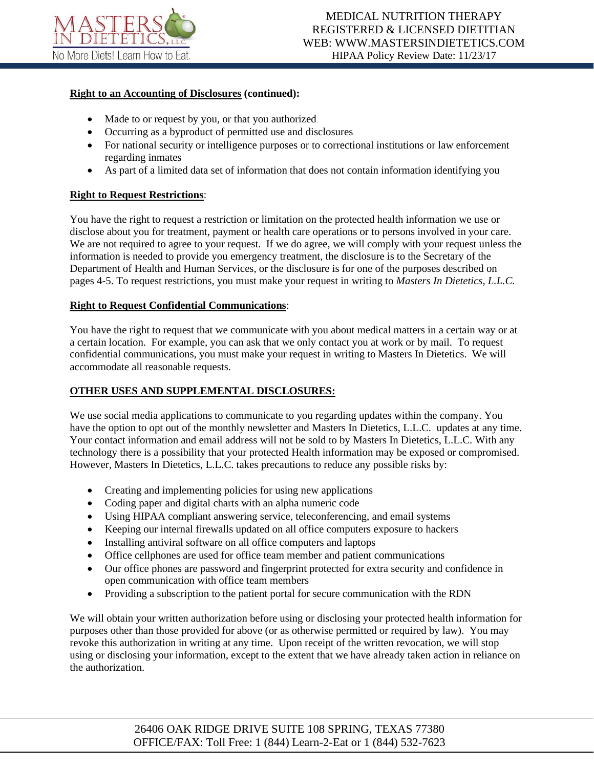

## **Right to an Accounting of Disclosures (continued):**

- Made to or request by you, or that you authorized
- Occurring as a byproduct of permitted use and disclosures
- For national security or intelligence purposes or to correctional institutions or law enforcement regarding inmates
- As part of a limited data set of information that does not contain information identifying you

### **Right to Request Restrictions**:

You have the right to request a restriction or limitation on the protected health information we use or disclose about you for treatment, payment or health care operations or to persons involved in your care. We are not required to agree to your request. If we do agree, we will comply with your request unless the information is needed to provide you emergency treatment, the disclosure is to the Secretary of the Department of Health and Human Services, or the disclosure is for one of the purposes described on pages 4-5. To request restrictions, you must make your request in writing to *Masters In Dietetics, L.L.C.*

#### **Right to Request Confidential Communications**:

You have the right to request that we communicate with you about medical matters in a certain way or at a certain location. For example, you can ask that we only contact you at work or by mail. To request confidential communications, you must make your request in writing to Masters In Dietetics. We will accommodate all reasonable requests.

## **OTHER USES AND SUPPLEMENTAL DISCLOSURES:**

We use social media applications to communicate to you regarding updates within the company. You have the option to opt out of the monthly newsletter and Masters In Dietetics, L.L.C. updates at any time. Your contact information and email address will not be sold to by Masters In Dietetics, L.L.C. With any technology there is a possibility that your protected Health information may be exposed or compromised. However, Masters In Dietetics, L.L.C. takes precautions to reduce any possible risks by:

- Creating and implementing policies for using new applications
- Coding paper and digital charts with an alpha numeric code
- Using HIPAA compliant answering service, teleconferencing, and email systems
- Keeping our internal firewalls updated on all office computers exposure to hackers
- Installing antiviral software on all office computers and laptops
- Office cellphones are used for office team member and patient communications
- Our office phones are password and fingerprint protected for extra security and confidence in open communication with office team members
- Providing a subscription to the patient portal for secure communication with the RDN

We will obtain your written authorization before using or disclosing your protected health information for purposes other than those provided for above (or as otherwise permitted or required by law). You may revoke this authorization in writing at any time. Upon receipt of the written revocation, we will stop using or disclosing your information, except to the extent that we have already taken action in reliance on the authorization.